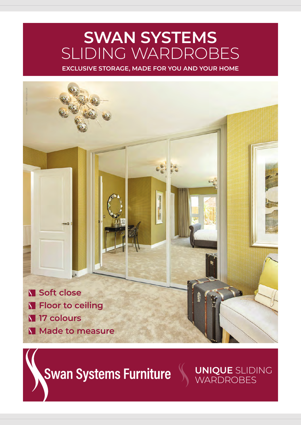## **SWAN SYSTEMS** SLIDING WARDROBES

**EXCLUSIVE STORAGE, MADE FOR YOU AND YOUR HOME**



**Swan Systems Furniture** 

**UNIQUE** SLIDING WARDROBES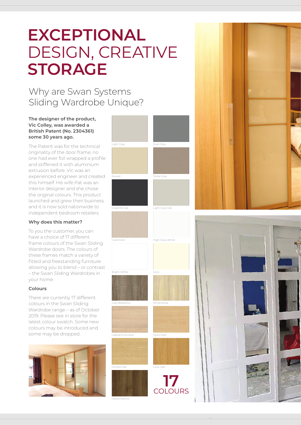# **EXCEPTIONAL** DESIGN, CREATIVE **STORAGE**

## Why are Swan Systems Sliding Wardrobe Unique?

#### **The designer of the product, Vic Colley, was awarded a British Patent (No. 2304361) some 30 years ago.**

The Patent was for the technical originality of the door frame; no one had ever foil wrapped a profile and stiffened it with aluminium extrusion before. Vic was an experienced engineer and created this himself. His wife Pat was an interior designer and she chose the original colours. This product launched and grew their business and it is now sold nationwide to independent bedroom retailers.

#### **Why does this matter?**

To you the customer, you can have a choice of 17 different frame colours of the Swan Sliding Wardrobe doors. The colours of these frames match a variety of fitted and freestanding furniture allowing you to blend – or contrast – the Swan Sliding Wardrobes in your home.

#### **Colours**

There are currently 17 different colours in the Swan Sliding Wardrobe range – as of October 2019. Please see in store for the latest colour swatch. Some new colours may be introduced and some may be dropped.



Opera Walnut



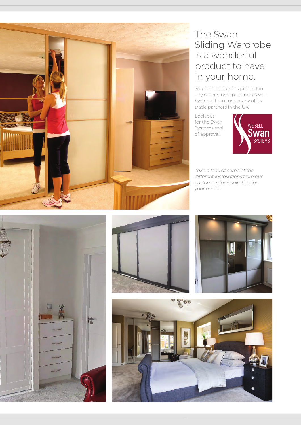

## The Swan Sliding Wardrobe is a wonderful product to have in your home.

You cannot buy this product in any other store apart from Swan Systems Furniture or any of its trade partners in the UK.

Look out for the Swan Systems seal of approval...



*Take a look at some of the different installations from our customers for inspiration for your home*...